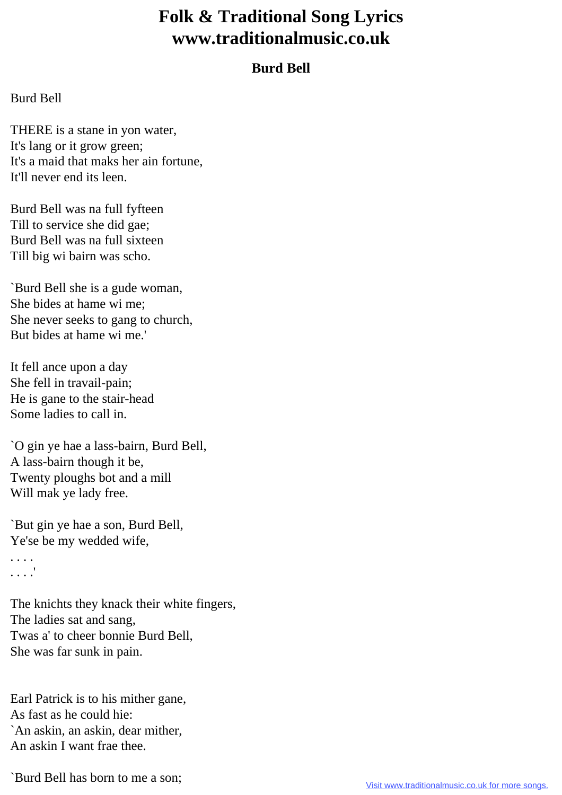## **Folk & Traditional Song Lyrics www.traditionalmusic.co.uk**

## **Burd Bell**

## Burd Bell

THERE is a stane in yon water, It's lang or it grow green; It's a maid that maks her ain fortune, It'll never end its leen.

Burd Bell was na full fyfteen Till to service she did gae; Burd Bell was na full sixteen Till big wi bairn was scho.

`Burd Bell she is a gude woman, She bides at hame wi me; She never seeks to gang to church, But bides at hame wi me.'

It fell ance upon a day She fell in travail-pain; He is gane to the stair-head Some ladies to call in.

`O gin ye hae a lass-bairn, Burd Bell, A lass-bairn though it be, Twenty ploughs bot and a mill Will mak ye lady free.

`But gin ye hae a son, Burd Bell, Ye'se be my wedded wife,

. . . . . . . .'

The knichts they knack their white fingers, The ladies sat and sang, Twas a' to cheer bonnie Burd Bell, She was far sunk in pain.

Earl Patrick is to his mither gane, As fast as he could hie: `An askin, an askin, dear mither, An askin I want frae thee.

`Burd Bell has born to me a son;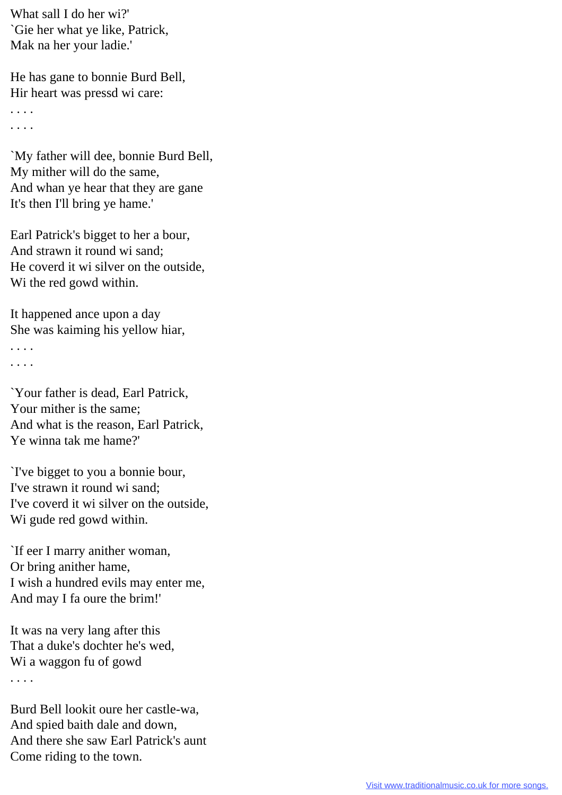What sall I do her wi?' `Gie her what ye like, Patrick, Mak na her your ladie.'

He has gane to bonnie Burd Bell, Hir heart was pressd wi care:

. . . . . . . .

`My father will dee, bonnie Burd Bell, My mither will do the same, And whan ye hear that they are gane It's then I'll bring ye hame.'

Earl Patrick's bigget to her a bour, And strawn it round wi sand; He coverd it wi silver on the outside, Wi the red gowd within.

It happened ance upon a day She was kaiming his yellow hiar,

. . . .

. . . .

`Your father is dead, Earl Patrick, Your mither is the same; And what is the reason, Earl Patrick, Ye winna tak me hame?'

`I've bigget to you a bonnie bour, I've strawn it round wi sand; I've coverd it wi silver on the outside, Wi gude red gowd within.

`If eer I marry anither woman, Or bring anither hame, I wish a hundred evils may enter me, And may I fa oure the brim!'

It was na very lang after this That a duke's dochter he's wed, Wi a waggon fu of gowd . . . .

Burd Bell lookit oure her castle-wa, And spied baith dale and down, And there she saw Earl Patrick's aunt Come riding to the town.